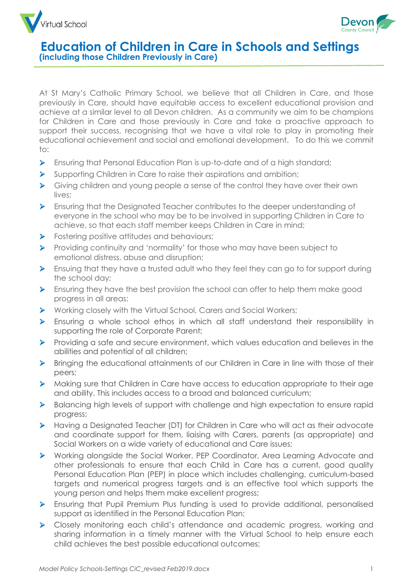



At St Mary's Catholic Primary School, we believe that all Children in Care, and those previously in Care, should have equitable access to excellent educational provision and achieve at a similar level to all Devon children. As a community we aim to be champions for Children in Care and those previously in Care and take a proactive approach to support their success, recognising that we have a vital role to play in promoting their educational achievement and social and emotional development. To do this we commit to:

- ➢ Ensuring that Personal Education Plan is up-to-date and of a high standard;
- ➢ Supporting Children in Care to raise their aspirations and ambition;
- ➢ Giving children and young people a sense of the control they have over their own lives;
- ➢ Ensuring that the Designated Teacher contributes to the deeper understanding of everyone in the school who may be to be involved in supporting Children in Care to achieve, so that each staff member keeps Children in Care in mind;
- ➢ Fostering positive attitudes and behaviours;
- ➢ Providing continuity and 'normality' for those who may have been subject to emotional distress, abuse and disruption;
- ➢ Ensuing that they have a trusted adult who they feel they can go to for support during the school day;
- $\triangleright$  Ensuring they have the best provision the school can offer to help them make good progress in all areas;
- ➢ Working closely with the Virtual School, Carers and Social Workers;
- ➢ Ensuring a whole school ethos in which all staff understand their responsibility in supporting the role of Corporate Parent;
- ➢ Providing a safe and secure environment, which values education and believes in the abilities and potential of all children;
- ➢ Bringing the educational attainments of our Children in Care in line with those of their peers;
- ➢ Making sure that Children in Care have access to education appropriate to their age and ability. This includes access to a broad and balanced curriculum;
- ➢ Balancing high levels of support with challenge and high expectation to ensure rapid progress;
- ➢ Having a Designated Teacher (DT) for Children in Care who will act as their advocate and coordinate support for them, liaising with Carers, parents (as appropriate) and Social Workers on a wide variety of educational and Care issues;
- ➢ Working alongside the Social Worker, PEP Coordinator, Area Learning Advocate and other professionals to ensure that each Child in Care has a current, good quality Personal Education Plan (PEP) in place which includes challenging, curriculum-based targets and numerical progress targets and is an effective tool which supports the young person and helps them make excellent progress;
- ➢ Ensuring that Pupil Premium Plus funding is used to provide additional, personalised support as identified in the Personal Education Plan;
- ➢ Closely monitoring each child's attendance and academic progress, working and sharing information in a timely manner with the Virtual School to help ensure each child achieves the best possible educational outcomes;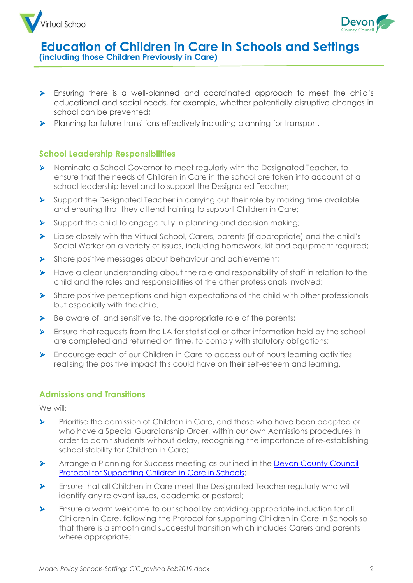



- ➢ Ensuring there is a well-planned and coordinated approach to meet the child's educational and social needs, for example, whether potentially disruptive changes in school can be prevented;
- ➢ Planning for future transitions effectively including planning for transport.

# **School Leadership Responsibilities**

- ➢ Nominate a School Governor to meet regularly with the Designated Teacher, to ensure that the needs of Children in Care in the school are taken into account at a school leadership level and to support the Designated Teacher;
- $\triangleright$  Support the Designated Teacher in carrying out their role by making time available and ensuring that they attend training to support Children in Care;
- ➢ Support the child to engage fully in planning and decision making;
- ➢ Liaise closely with the Virtual School, Carers, parents (if appropriate) and the child's Social Worker on a variety of issues, including homework, kit and equipment required;
- ➢ Share positive messages about behaviour and achievement;
- ➢ Have a clear understanding about the role and responsibility of staff in relation to the child and the roles and responsibilities of the other professionals involved;
- ➢ Share positive perceptions and high expectations of the child with other professionals but especially with the child;
- $\triangleright$  Be aware of, and sensitive to, the appropriate role of the parents;
- ➢ Ensure that requests from the LA for statistical or other information held by the school are completed and returned on time, to comply with statutory obligations;
- ➢ Encourage each of our Children in Care to access out of hours learning activities realising the positive impact this could have on their self-esteem and learning.

### **Admissions and Transitions**

We will:

- ➢ Prioritise the admission of Children in Care, and those who have been adopted or who have a Special Guardianship Order, within our own Admissions procedures in order to admit students without delay, recognising the importance of re-establishing school stability for Children in Care;
- ➢ Arrange a Planning for Success meeting as outlined in the [Devon County Council](https://devoncc.sharepoint.com/sites/PublicDocs/Education/Children/Forms/AllItems.aspx?id=%2Fsites%2FPublicDocs%2FEducation%2FChildren%2FChildren%20in%20care%2FVirtual%20school%2FFor%20schools%2FProtocol%20for%20Supporting%20CiC%20in%20Schools%2Epdf&parent=%2Fsites%2FPublicDocs%2FEducation%2FChildren%2FChildren%20in%20care%2FVirtual%20school%2FFor%20schools&p=true)  [Protocol for Supporting Children in Care in Schools;](https://devoncc.sharepoint.com/sites/PublicDocs/Education/Children/Forms/AllItems.aspx?id=%2Fsites%2FPublicDocs%2FEducation%2FChildren%2FChildren%20in%20care%2FVirtual%20school%2FFor%20schools%2FProtocol%20for%20Supporting%20CiC%20in%20Schools%2Epdf&parent=%2Fsites%2FPublicDocs%2FEducation%2FChildren%2FChildren%20in%20care%2FVirtual%20school%2FFor%20schools&p=true)
- ➢ Ensure that all Children in Care meet the Designated Teacher regularly who will identify any relevant issues, academic or pastoral;
- ➢ Ensure a warm welcome to our school by providing appropriate induction for all Children in Care, following the Protocol for supporting Children in Care in Schools so that there is a smooth and successful transition which includes Carers and parents where appropriate;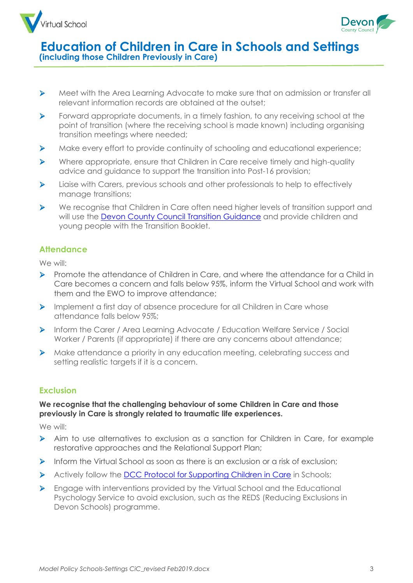



- ➢ Meet with the Area Learning Advocate to make sure that on admission or transfer all relevant information records are obtained at the outset;
- ➢ Forward appropriate documents, in a timely fashion, to any receiving school at the point of transition (where the receiving school is made known) including organising transition meetings where needed;
- ➢ Make every effort to provide continuity of schooling and educational experience;
- ➢ Where appropriate, ensure that Children in Care receive timely and high-quality advice and guidance to support the transition into Post-16 provision;
- ➢ Liaise with Carers, previous schools and other professionals to help to effectively manage transitions;
- ➢ We recognise that Children in Care often need higher levels of transition support and will use the [Devon County Council Transition Guidance](https://www.babcockldp.co.uk/disadvantaged-vulnerable-learners/educational-psychology/resources/transition-guidance) and provide children and young people with the Transition Booklet.

# **Attendance**

We will:

- ➢ Promote the attendance of Children in Care, and where the attendance for a Child in Care becomes a concern and falls below 95%, inform the Virtual School and work with them and the EWO to improve attendance;
- ➢ Implement a first day of absence procedure for all Children in Care whose attendance falls below 95%;
- ➢ Inform the Carer / Area Learning Advocate / Education Welfare Service / Social Worker / Parents (if appropriate) if there are any concerns about attendance;
- ➢ Make attendance a priority in any education meeting, celebrating success and setting realistic targets if it is a concern.

# **Exclusion**

#### **We recognise that the challenging behaviour of some Children in Care and those previously in Care is strongly related to traumatic life experiences.**

We will:

- ➢ Aim to use alternatives to exclusion as a sanction for Children in Care, for example restorative approaches and the Relational Support Plan;
- ➢ Inform the Virtual School as soon as there is an exclusion or a risk of exclusion;
- ➢ Actively follow the [DCC Protocol for Supporting Children in Care](https://devoncc.sharepoint.com/sites/PublicDocs/Education/Children/Forms/AllItems.aspx?id=%2Fsites%2FPublicDocs%2FEducation%2FChildren%2FChildren%20in%20care%2FVirtual%20school%2FFor%20schools%2FProtocol%20for%20Supporting%20CiC%20in%20Schools%2Epdf&parent=%2Fsites%2FPublicDocs%2FEducation%2FChildren%2FChildren%20in%20care%2FVirtual%20school%2FFor%20schools&p=true) in Schools;
- ➢ Engage with interventions provided by the Virtual School and the Educational Psychology Service to avoid exclusion, such as the REDS (Reducing Exclusions in Devon Schools) programme.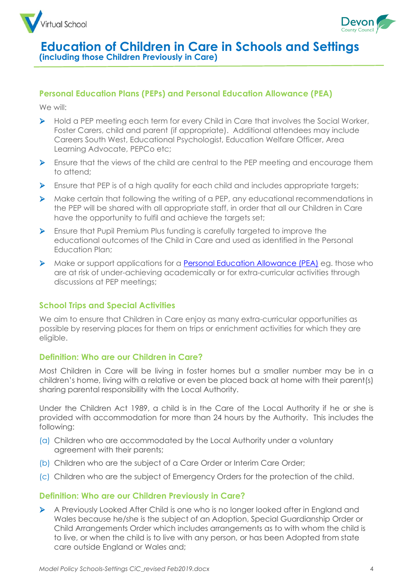



### **Personal Education Plans (PEPs) and Personal Education Allowance (PEA)**

We will:

- ➢ Hold a PEP meeting each term for every Child in Care that involves the Social Worker, Foster Carers, child and parent (if appropriate). Additional attendees may include Careers South West, Educational Psychologist, Education Welfare Officer, Area Learning Advocate, PEPCo etc;
- ➢ Ensure that the views of the child are central to the PEP meeting and encourage them to attend;
- ➢ Ensure that PEP is of a high quality for each child and includes appropriate targets;
- ➢ Make certain that following the writing of a PEP, any educational recommendations in the PEP will be shared with all appropriate staff, in order that all our Children in Care have the opportunity to fulfil and achieve the targets set;
- ➢ Ensure that Pupil Premium Plus funding is carefully targeted to improve the educational outcomes of the Child in Care and used as identified in the Personal Education Plan;
- ➢ Make or support applications for a [Personal Education Allowance \(PEA\)](https://new.devon.gov.uk/educationandfamilies/young-people/children-in-care/education-of-children-in-care/information-for-schools-and-settings) eg. those who are at risk of under-achieving academically or for extra-curricular activities through discussions at PEP meetings;

# **School Trips and Special Activities**

We aim to ensure that Children in Care enjoy as many extra-curricular opportunities as possible by reserving places for them on trips or enrichment activities for which they are eligible.

### **Definition: Who are our Children in Care?**

Most Children in Care will be living in foster homes but a smaller number may be in a children's home, living with a relative or even be placed back at home with their parent(s) sharing parental responsibility with the Local Authority.

Under the Children Act 1989, a child is in the Care of the Local Authority if he or she is provided with accommodation for more than 24 hours by the Authority. This includes the following:

- (a) Children who are accommodated by the Local Authority under a voluntary agreement with their parents;
- (b) Children who are the subject of a Care Order or Interim Care Order;
- (c) Children who are the subject of Emergency Orders for the protection of the child.

### **Definition: Who are our Children Previously in Care?**

➢ A Previously Looked After Child is one who is no longer looked after in England and Wales because he/she is the subject of an Adoption, Special Guardianship Order or Child Arrangements Order which includes arrangements as to with whom the child is to live, or when the child is to live with any person, or has been Adopted from state care outside England or Wales and;